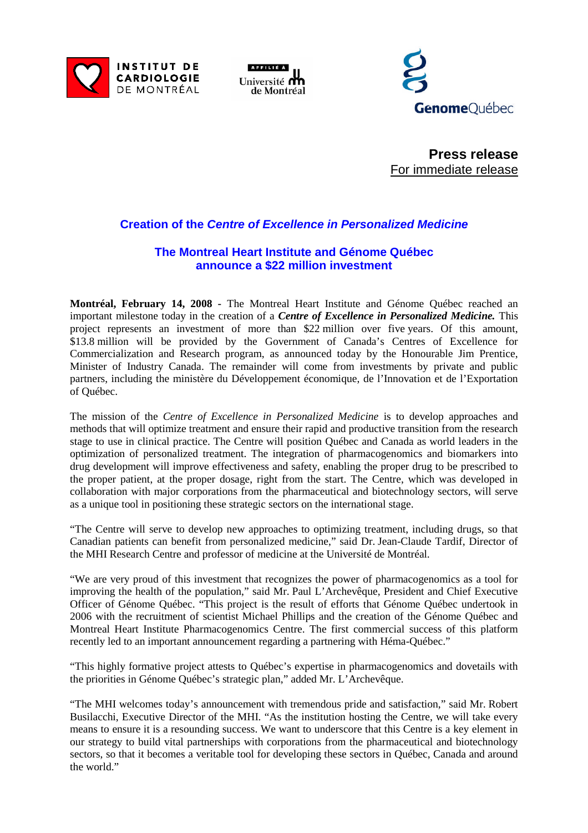





**Press release** For immediate release

# **Creation of the** *Centre of Excellence in Personalized Medicine*

## **The Montreal Heart Institute and Génome Québec announce a \$22 million investment**

**Montréal, February 14, 2008 -** The Montreal Heart Institute and Génome Québec reached an important milestone today in the creation of a *Centre of Excellence in Personalized Medicine.* This project represents an investment of more than \$22 million over five years. Of this amount, \$13.8 million will be provided by the Government of Canada's Centres of Excellence for Commercialization and Research program, as announced today by the Honourable Jim Prentice, Minister of Industry Canada. The remainder will come from investments by private and public partners, including the ministère du Développement économique, de l'Innovation et de l'Exportation of Québec.

The mission of the *Centre of Excellence in Personalized Medicine* is to develop approaches and methods that will optimize treatment and ensure their rapid and productive transition from the research stage to use in clinical practice. The Centre will position Québec and Canada as world leaders in the optimization of personalized treatment. The integration of pharmacogenomics and biomarkers into drug development will improve effectiveness and safety, enabling the proper drug to be prescribed to the proper patient, at the proper dosage, right from the start. The Centre, which was developed in collaboration with major corporations from the pharmaceutical and biotechnology sectors, will serve as a unique tool in positioning these strategic sectors on the international stage.

"The Centre will serve to develop new approaches to optimizing treatment, including drugs, so that Canadian patients can benefit from personalized medicine," said Dr. Jean-Claude Tardif, Director of the MHI Research Centre and professor of medicine at the Université de Montréal.

"We are very proud of this investment that recognizes the power of pharmacogenomics as a tool for improving the health of the population," said Mr. Paul L'Archevêque, President and Chief Executive Officer of Génome Québec. "This project is the result of efforts that Génome Québec undertook in 2006 with the recruitment of scientist Michael Phillips and the creation of the Génome Québec and Montreal Heart Institute Pharmacogenomics Centre. The first commercial success of this platform recently led to an important announcement regarding a partnering with Héma-Québec."

"This highly formative project attests to Québec's expertise in pharmacogenomics and dovetails with the priorities in Génome Québec's strategic plan," added Mr. L'Archevêque.

"The MHI welcomes today's announcement with tremendous pride and satisfaction," said Mr. Robert Busilacchi, Executive Director of the MHI. "As the institution hosting the Centre, we will take every means to ensure it is a resounding success. We want to underscore that this Centre is a key element in our strategy to build vital partnerships with corporations from the pharmaceutical and biotechnology sectors, so that it becomes a veritable tool for developing these sectors in Québec, Canada and around the world."